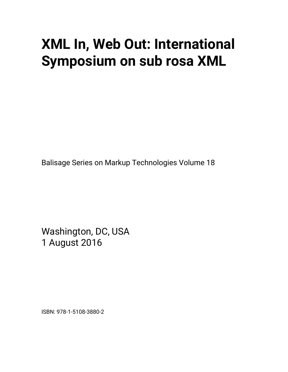# **XML In, Web Out: International Symposium on sub rosa XML**

Balisage Series on Markup Technologies Volume 18

Washington, DC, USA 1 August 2016

ISBN: 978-1-5108-3880-2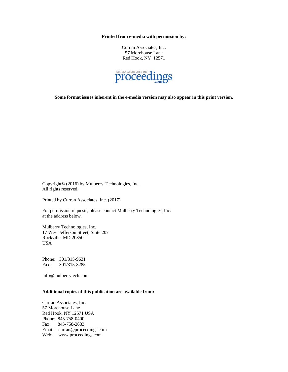**Printed from e-media with permission by:** 

Curran Associates, Inc. 57 Morehouse Lane Red Hook, NY 12571



**Some format issues inherent in the e-media version may also appear in this print version.** 

Copyright© (2016) by Mulberry Technologies, Inc. All rights reserved.

Printed by Curran Associates, Inc. (2017)

For permission requests, please contact Mulberry Technologies, Inc. at the address below.

Mulberry Technologies, Inc. 17 West Jefferson Street, Suite 207 Rockville, MD 20850 USA

Phone: 301/315-9631 Fax: 301/315-8285

info@mulberrytech.com

#### **Additional copies of this publication are available from:**

Curran Associates, Inc. 57 Morehouse Lane Red Hook, NY 12571 USA Phone: 845-758-0400 Fax: 845-758-2633 Email: curran@proceedings.com Web: www.proceedings.com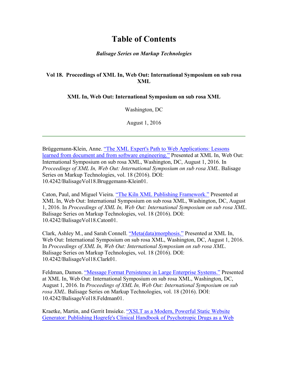## **Table of Contents**

#### *Balisage Series on Markup Technologies*

### **Vol 18. Proceedings of XML In, Web Out: International Symposium on sub rosa XML**

#### **XML In, Web Out: International Symposium on sub rosa XML**

Washington, DC

August 1, 2016

Brüggemann-Klein, Anne. "The XML Expert's Path to Web Applications: Lessons learned from document and from software engineering." Presented at XML In, Web Out: International Symposium on sub rosa XML, Washington, DC, August 1, 2016. In *Proceedings of XML In, Web Out: International Symposium on sub rosa XML*. Balisage Series on Markup Technologies, vol. 18 (2016). DOI: 10.4242/BalisageVol18.Bruggemann-Klein01.

Caton, Paul, and Miguel Vieira. "The Kiln XML Publishing Framework." Presented at XML In, Web Out: International Symposium on sub rosa XML, Washington, DC, August 1, 2016. In *Proceedings of XML In, Web Out: International Symposium on sub rosa XML*. Balisage Series on Markup Technologies, vol. 18 (2016). DOI: 10.4242/BalisageVol18.Caton01.

Clark, Ashley M., and Sarah Connell. "Meta(data)morphosis." Presented at XML In, Web Out: International Symposium on sub rosa XML, Washington, DC, August 1, 2016. In *Proceedings of XML In, Web Out: International Symposium on sub rosa XML*. Balisage Series on Markup Technologies, vol. 18 (2016). DOI: 10.4242/BalisageVol18.Clark01.

Feldman, Damon. "Message Format Persistence in Large Enterprise Systems." Presented at XML In, Web Out: International Symposium on sub rosa XML, Washington, DC, August 1, 2016. In *Proceedings of XML In, Web Out: International Symposium on sub rosa XML*. Balisage Series on Markup Technologies, vol. 18 (2016). DOI: 10.4242/BalisageVol18.Feldman01.

Kraetke, Martin, and Gerrit Imsieke. "XSLT as a Modern, Powerful Static Website Generator: Publishing Hogrefe's Clinical Handbook of Psychotropic Drugs as a Web